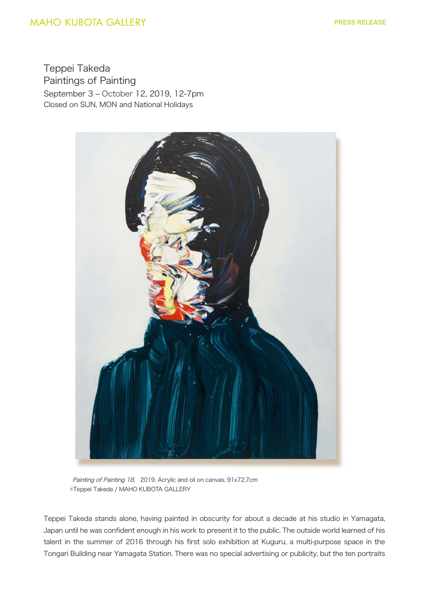## **MAHO KUBOTA GALLERY**

Teppei Takeda Paintings of Painting September 3 ‒ October 12, 2019, 12-7pm Closed on SUN, MON and National Holidays



 Painting of Painting 18, 2019, Acrylic and oil on canvas, 91x72.7cm ©Teppei Takeda / MAHO KUBOTA GALLERY

Teppei Takeda stands alone, having painted in obscurity for about a decade at his studio in Yamagata, Japan until he was confident enough in his work to present it to the public. The outside world learned of his talent in the summer of 2016 through his first solo exhibition at Kuguru, a multi-purpose space in the Tongari Building near Yamagata Station. There was no special advertising or publicity, but the ten portraits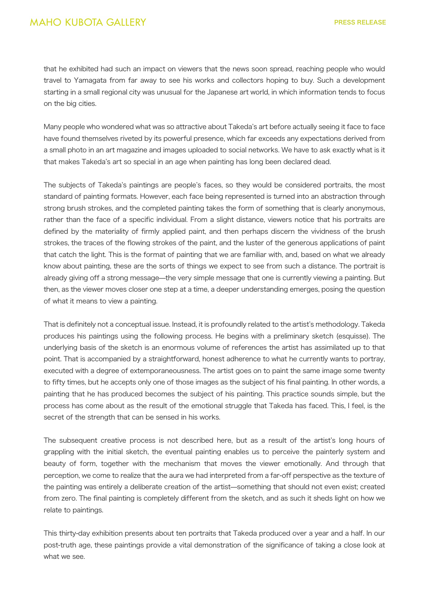that he exhibited had such an impact on viewers that the news soon spread, reaching people who would travel to Yamagata from far away to see his works and collectors hoping to buy. Such a development starting in a small regional city was unusual for the Japanese art world, in which information tends to focus on the big cities.

Many people who wondered what was so attractive about Takeda's art before actually seeing it face to face have found themselves riveted by its powerful presence, which far exceeds any expectations derived from a small photo in an art magazine and images uploaded to social networks. We have to ask exactly what is it that makes Takeda's art so special in an age when painting has long been declared dead.

The subjects of Takeda's paintings are people's faces, so they would be considered portraits, the most standard of painting formats. However, each face being represented is turned into an abstraction through strong brush strokes, and the completed painting takes the form of something that is clearly anonymous, rather than the face of a specific individual. From a slight distance, viewers notice that his portraits are defined by the materiality of firmly applied paint, and then perhaps discern the vividness of the brush strokes, the traces of the flowing strokes of the paint, and the luster of the generous applications of paint that catch the light. This is the format of painting that we are familiar with, and, based on what we already know about painting, these are the sorts of things we expect to see from such a distance. The portrait is already giving off a strong message—the very simple message that one is currently viewing a painting. But then, as the viewer moves closer one step at a time, a deeper understanding emerges, posing the question of what it means to view a painting.

That is definitely not a conceptual issue. Instead, it is profoundly related to the artist's methodology. Takeda produces his paintings using the following process. He begins with a preliminary sketch (esquisse). The underlying basis of the sketch is an enormous volume of references the artist has assimilated up to that point. That is accompanied by a straightforward, honest adherence to what he currently wants to portray, executed with a degree of extemporaneousness. The artist goes on to paint the same image some twenty to fifty times, but he accepts only one of those images as the subject of his final painting. In other words, a painting that he has produced becomes the subject of his painting. This practice sounds simple, but the process has come about as the result of the emotional struggle that Takeda has faced. This, I feel, is the secret of the strength that can be sensed in his works.

The subsequent creative process is not described here, but as a result of the artist's long hours of grappling with the initial sketch, the eventual painting enables us to perceive the painterly system and beauty of form, together with the mechanism that moves the viewer emotionally. And through that perception, we come to realize that the aura we had interpreted from a far-off perspective as the texture of the painting was entirely a deliberate creation of the artist—something that should not even exist; created from zero. The final painting is completely different from the sketch, and as such it sheds light on how we relate to paintings.

This thirty-day exhibition presents about ten portraits that Takeda produced over a year and a half. In our post-truth age, these paintings provide a vital demonstration of the significance of taking a close look at what we see.